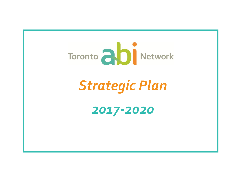

# *Strategic Plan*

## *2017-2020*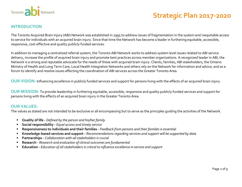

#### **INTRODUCTION**

The Toronto Acquired Brain Injury (ABI) Network was established in 1995 to address issues of fragmentation in the system and inequitable access to service for individuals with an acquired brain injury. Since that time the Network has become a leader in furthering equitable, accessible, responsive, cost-effective and quality publicly funded services.

In addition to managing a centralized referral system, the Toronto ABI Network works to address system level issues related to ABI service delivery, increase the profile of acquired brain injury and promote best practices across member organizations. A recognized leader in ABI, the Network is a strong and reputable advocate for the needs of those with acquired brain injury. Clients, families, ABI stakeholders, the Ontario Ministry of Health and Long Term Care, Local Health Integration Networks and others rely on the Network for information and advice, and as a forum to identify and resolve issues affecting the coordination of ABI services across the Greater Toronto Area.

**OUR VISION:** Influencing excellence in publicly funded services and support for persons living with the effects of an acquired brain injury.

**OUR MISSION:** To provide leadership in furthering equitable, accessible, responsive and quality publicly funded services and support for persons living with the effects of an acquired brain injury in the Greater Toronto Area.

#### **OUR VALUES:**

The values as stated are not intended to be exclusive or all encompassing but to serve as the principles guiding the activities of the Network.

- **Quality of life -** *Defined by the person and his/her family*
- **Social responsibility -** *Equal access and timely service*
- **Responsiveness to individuals and their families -** *Feedback from persons and their families is essential*
- **Knowledge-based services and support -** *Recommendations regarding services and support will be supported by data*
- **Partnerships -** *Collaboration with all stakeholders is crucial*
- **Research** *Research and evaluation of clinical outcomes are fundamental*
- **Education -** *Education of all stakeholders is critical to influence excellence in service and support*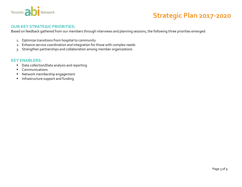

#### **OUR KEY STRATEGIC PRIORITIES:**

Based on feedback gathered from our members through interviews and planning sessions, the following three priorities emerged:

- 1. Optimize transitions from hospital to community
- 2. Enhance service coordination and integration for those with complex needs
- 3. Strengthen partnerships and collaboration among member organizations

#### **KEY ENABLERS:**

- Data collection/Data analysis and reporting
- **Communications**
- Network membership engagement
- **Infrastructure support and funding**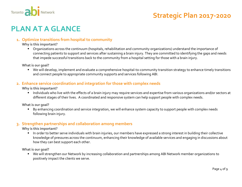

### **PLAN AT A GLANCE**

#### **1. Optimize transitions from hospital to community**

#### **Why is this important?**

 Organizations across the continuum (hospitals, rehabilitation and community organizations) understand the importance of connecting patients to support and services after sustaining a brain injury. They are committed to identifying the gaps and needs that impede successful transitions back to the community from a hospital setting for those with a brain injury.

**What is our goal?**

 We will develop, implement and evaluate a comprehensive hospital-to-community transition strategy to enhance timely transitions and connect people to appropriate community supports and services following ABI.

#### **2. Enhance service coordination and integration for those with complex needs**

**Why is this important?**

Individuals who live with the effects of a brain injury may require services and expertise from various organizations and/or sectors at different stages of their lives. A coordinated and responsive system can help support people with complex needs.

**What is our goal?**

By enhancing coordination and service integration, we will enhance system capacity to support people with complex needs following brain injury.

#### **3. Strengthen partnerships and collaboration among members**

**Why is this important?**

 In order to better serve individuals with brain injuries, our members have expressed a strong interest in building their collective knowledge of pressures across the continuum, enhancing their knowledge of available services and engaging in discussions about how they can best support each other.

**What is our goal?**

 We will strengthen our Network by increasing collaboration and partnerships among ABI Network member organizations to positively impact the clients we serve.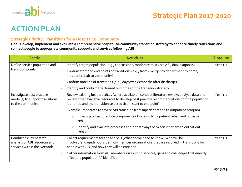

### **ACTION PLAN**

#### **Strategic Priority: Transitions from Hospital to Community**

**Goal: Develop, implement and evaluate a comprehensive hospital-to-community transition strategy to enhance timely transitions and connect people to appropriate community supports and services following ABI** 

| <b>Tactic</b>                                                                           |  | <b>Activities</b>                                                                                                                                                                                                                                                 | <b>Timeline</b> |
|-----------------------------------------------------------------------------------------|--|-------------------------------------------------------------------------------------------------------------------------------------------------------------------------------------------------------------------------------------------------------------------|-----------------|
| Define service population and<br>transition points                                      |  | Identify target population (e.g., concussions, moderate to severe ABI, dual diagnosis)                                                                                                                                                                            | Year 1-2        |
|                                                                                         |  | Confirm start and end points of transitions (e.g., from emergency department to home,<br>inpatient rehab to community)                                                                                                                                            |                 |
|                                                                                         |  | Confirm timeline of transitions (e.g., days/weeks/months after discharge)                                                                                                                                                                                         |                 |
|                                                                                         |  | Identify and confirm the desired outcomes of the transition strategy                                                                                                                                                                                              |                 |
| Investigate best practice<br>model(s) to support transitions<br>to the community        |  | Review existing best practices (where available), conduct literature review, analyze data and<br>review other available resources to develop best practice recommendations for the population<br>identified and the transition selected (from start to end point) | Year 1-2        |
|                                                                                         |  | Example: moderate to severe ABI transition from inpatient rehab to outpatient program                                                                                                                                                                             |                 |
|                                                                                         |  | Investigate best practice components of care within inpatient rehab and outpatient<br>$\circ$<br>rehab                                                                                                                                                            |                 |
|                                                                                         |  | Identify and evaluate processes and/or pathways between inpatient to outpatient<br>$\circ$<br>rehab                                                                                                                                                               |                 |
| Conduct a current state<br>analysis of ABI resources and<br>services within the Network |  | Collect requirements for the analysis (What do we need to know? Who will be<br>involved/engaged?) Consider non-member organizations that are involved in transitions for<br>people with ABI and how they will be engaged.                                         | Year 1-2        |
|                                                                                         |  | Gather information from ABI members on existing services, gaps and challenges that directly<br>affect the population(s) identified.                                                                                                                               |                 |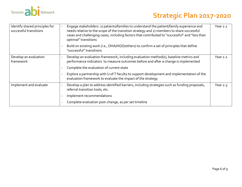

| Identify shared principles for<br>successful transitions | Engage stakeholders: 1) patients/families to understand the patient/family experience and<br>needs relative to the scope of the transition strategy and 2) members to share successful<br>cases and challenging cases, including factors that contributed to "successful" and "less than<br>optimal" transitions | Year $1-2$ |
|----------------------------------------------------------|------------------------------------------------------------------------------------------------------------------------------------------------------------------------------------------------------------------------------------------------------------------------------------------------------------------|------------|
|                                                          | Build on existing work (i.e., OHA/HQO/others) to confirm a set of principles that define<br>"successful" transitions                                                                                                                                                                                             |            |
| Develop an evaluation<br>framework                       | Develop an evaluation framework, including evaluation method(s), baseline metrics and<br>performance indicators to measure outcomes before and after a change is implemented<br>Complete the evaluation of current state                                                                                         | Year 1-2   |
|                                                          | Explore a partnership with U of T faculty to support development and implementation of the<br>evaluation framework to evaluate the impact of the strategy                                                                                                                                                        |            |
| Implement and evaluate                                   | Develop a plan to address identified barriers, including strategies such as funding proposals,<br>referral transition tools, etc.                                                                                                                                                                                | Year $2-3$ |
|                                                          | Implement recommendations                                                                                                                                                                                                                                                                                        |            |
|                                                          | Complete evaluation post-change, as per set timeline                                                                                                                                                                                                                                                             |            |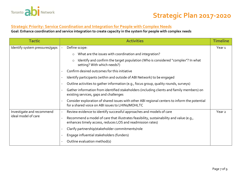

#### **Strategic Priority: Service Coordination and Integration for People with Complex Needs**

#### **Goal: Enhance coordination and service integration to create capacity in the system for people with complex needs**

| <b>Tactic</b>                                    | <b>Activities</b>                                                                                                                                     | <b>Timeline</b>   |
|--------------------------------------------------|-------------------------------------------------------------------------------------------------------------------------------------------------------|-------------------|
| Identify system pressures/gaps                   | Define scope:                                                                                                                                         | Year <sub>1</sub> |
|                                                  | What are the issues with coordination and integration?<br>$\circ$                                                                                     |                   |
|                                                  | Identify and confirm the target population (Who is considered "complex"? In what<br>$\circ$<br>setting? With which needs?)                            |                   |
|                                                  | Confirm desired outcomes for this initiative                                                                                                          |                   |
|                                                  | Identify participants (within and outside of ABI Network) to be engaged                                                                               |                   |
|                                                  | Outline activities to gather information (e.g., focus group, quality rounds, surveys)<br>$\overline{\phantom{a}}$                                     |                   |
|                                                  | Gather information from identified stakeholders (including clients and family members) on<br>existing services, gaps and challenges                   |                   |
|                                                  | Consider exploration of shared issues with other ABI regional centers to inform the potential<br>for a shared voice on ABI issues to LHINs/MOHLTC     |                   |
| Investigate and recommend<br>ideal model of care | Review evidence to identify successful approaches and models of care                                                                                  | Year <sub>2</sub> |
|                                                  | Recommend a model of care that illustrates feasibility, sustainability and value (e.g.,<br>enhances timely access, reduces LOS and readmission rates) |                   |
|                                                  | Clarify partnership/stakeholder commitments/role                                                                                                      |                   |
|                                                  | Engage influential stakeholders (funders)                                                                                                             |                   |
|                                                  | Outline evaluation method(s)                                                                                                                          |                   |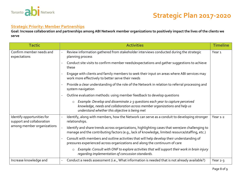

#### **Strategic Priority: Member Partnerships**

**Goal: Increase collaboration and partnerships among ABI Network member organizations to positively impact the lives of the clients we serve**

| <b>Tactic</b>                                                                         | <b>Activities</b>                                                                                                                                                                                                        | <b>Timeline</b>   |
|---------------------------------------------------------------------------------------|--------------------------------------------------------------------------------------------------------------------------------------------------------------------------------------------------------------------------|-------------------|
| Confirm member needs and<br>expectations                                              | Review information gathered from stakeholder interviews conducted during the strategic<br>planning process                                                                                                               | Year <sub>1</sub> |
|                                                                                       | Conduct site visits to confirm member needs/expectations and gather suggestions to achieve<br>these                                                                                                                      |                   |
|                                                                                       | Engage with clients and family members to seek their input on areas where ABI services may<br>work more effectively to better serve their needs                                                                          |                   |
|                                                                                       | Provide a clear understanding of the role of the Network in relation to referral processing and<br>system navigation                                                                                                     |                   |
|                                                                                       | Outline evaluation methods: using member feedback to develop questions                                                                                                                                                   |                   |
|                                                                                       | Example: Develop and disseminate 2-3 questions each year to capture perceived<br>$\circ$<br>knowledge, needs and collaboration across member organizations and help us<br>understand whether this objective is being met |                   |
| Identify opportunities for<br>support and collaboration<br>among member organizations | Identify, along with members, how the Network can serve as a conduit to developing stronger<br>relationships.                                                                                                            | Year 1-2          |
|                                                                                       | Identify and share trends across organizations, highlighting cases that were/are challenging to<br>manage and the contributing factors (e.g., lack of knowledge, limited resource/staffing, etc.)                        |                   |
|                                                                                       | Consult with members and outline activities that will help develop their understanding of<br>pressures experienced across organizations and along the continuum of care                                                  |                   |
|                                                                                       | Example: Consult with ONF to explore activities that will support their work in brain injury<br>$\circ$<br>regarding implementation of concussion standards.                                                             |                   |
| Increase knowledge and                                                                | Conduct a needs assessment (i.e., What information is needed that is not already available?)                                                                                                                             | Year 2-3          |